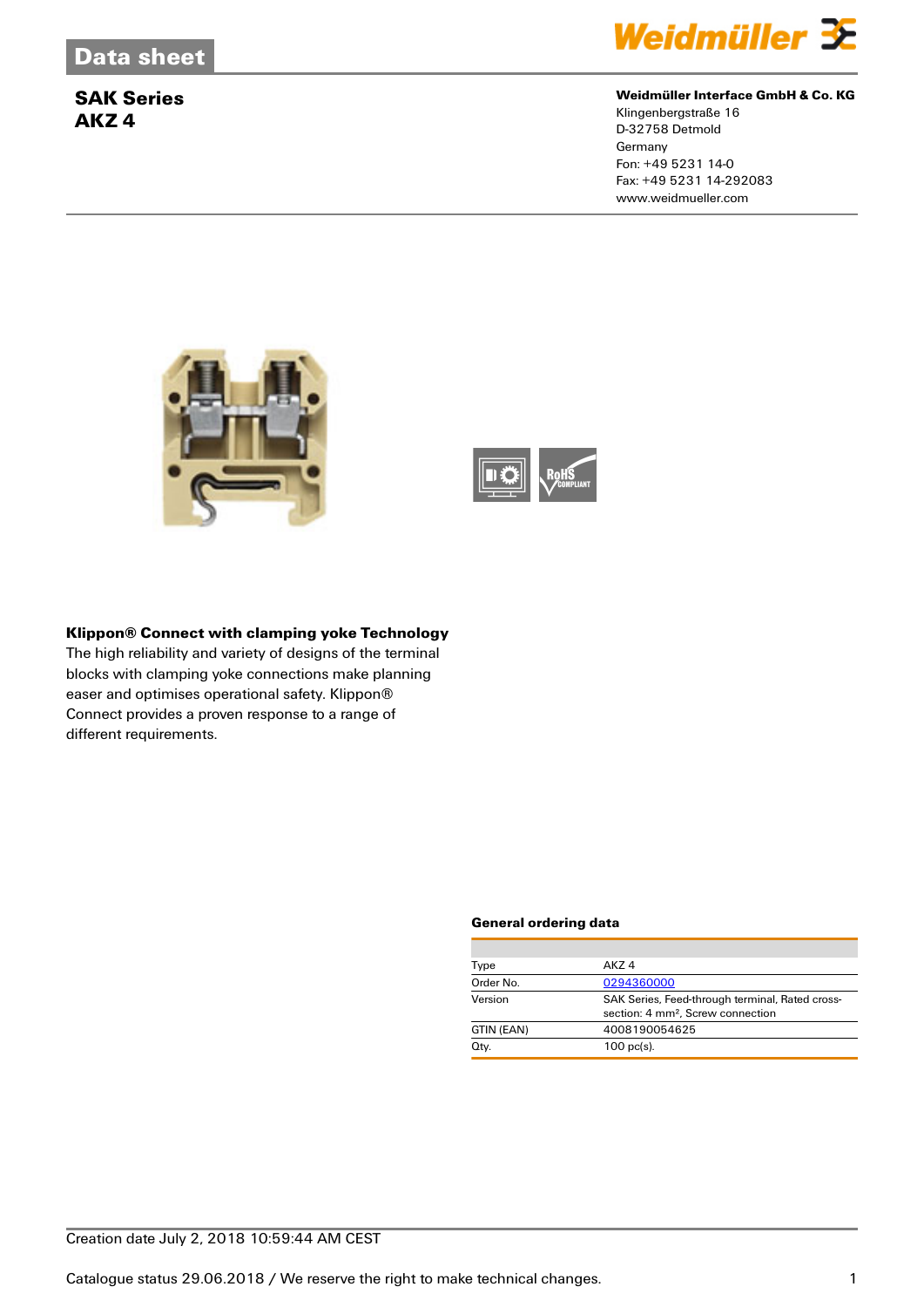

### **Weidmüller Interface GmbH & Co. KG**

Klingenbergstraße 16 D-32758 Detmold **Germany** Fon: +49 5231 14-0 Fax: +49 5231 14-292083 www.weidmueller.com





### **Klippon® Connect with clamping yoke Technology**

The high reliability and variety of designs of the terminal blocks with clamping yoke connections make planning easer and optimises operational safety. Klippon® Connect provides a proven response to a range of different requirements.

#### **General ordering data**

| Type       | AK74                                                                                             |
|------------|--------------------------------------------------------------------------------------------------|
| Order No.  | 0294360000                                                                                       |
| Version    | SAK Series, Feed-through terminal, Rated cross-<br>section: 4 mm <sup>2</sup> , Screw connection |
| GTIN (EAN) | 4008190054625                                                                                    |
| Qty.       | $100$ pc(s).                                                                                     |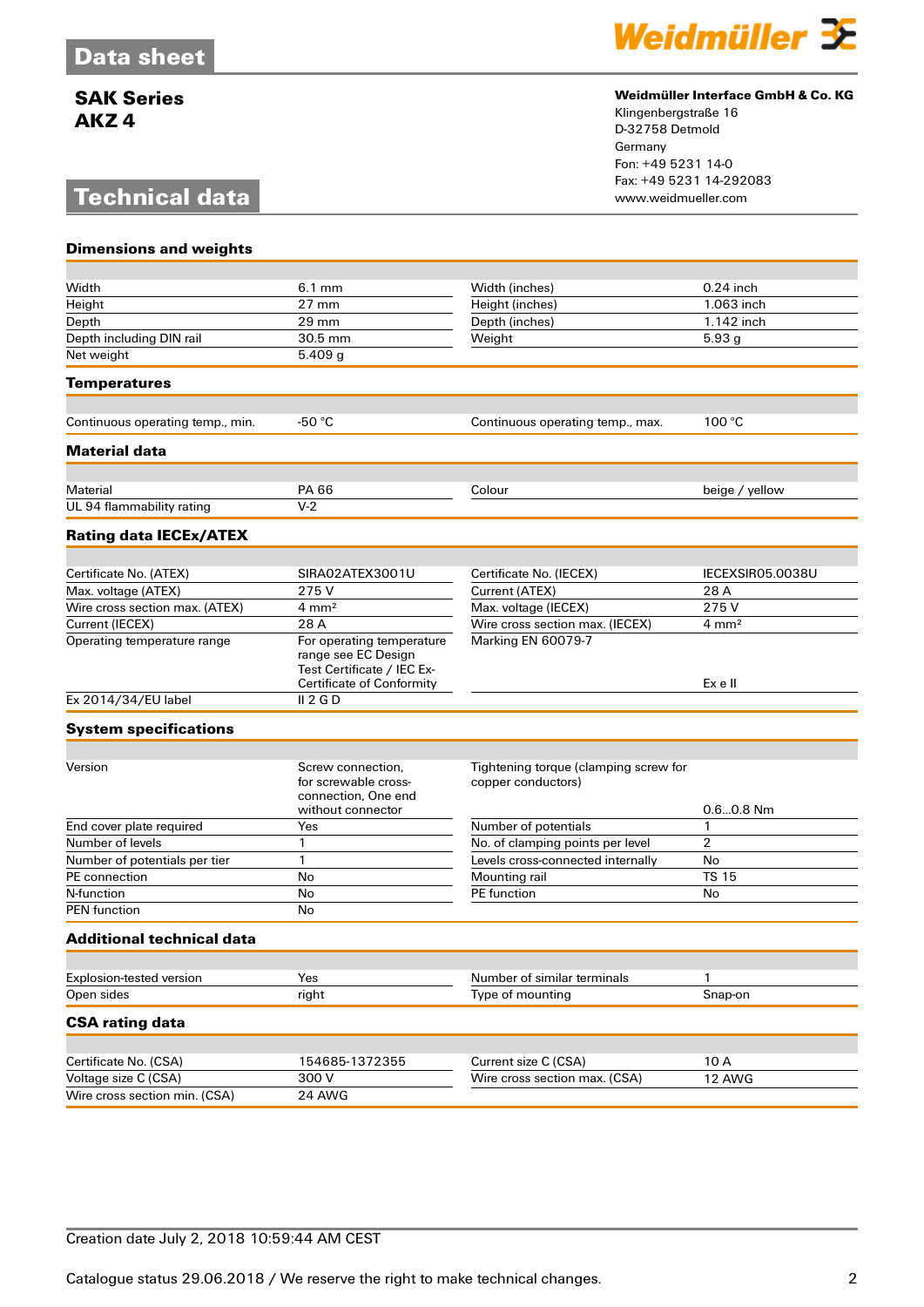# **Technical data**



### **Weidmüller Interface GmbH & Co. KG**

Klingenbergstraße 16 D-32758 Detmold Germany Fon: +49 5231 14-0 Fax: +49 5231 14-292083

| <b>Dimensions and weights</b>    |                                                                                                                    |                                                             |                    |
|----------------------------------|--------------------------------------------------------------------------------------------------------------------|-------------------------------------------------------------|--------------------|
|                                  |                                                                                                                    |                                                             | $0.24$ inch        |
| Width                            | $6.1 \text{ mm}$<br>$27 \text{ mm}$                                                                                | Width (inches)                                              | 1.063 inch         |
| Height                           | 29 mm                                                                                                              | Height (inches)                                             | 1.142 inch         |
| Depth                            |                                                                                                                    | Depth (inches)                                              |                    |
| Depth including DIN rail         | 30.5 mm                                                                                                            | Weight                                                      | 5.93g              |
| Net weight                       | 5.409 g                                                                                                            |                                                             |                    |
| <b>Temperatures</b>              |                                                                                                                    |                                                             |                    |
| Continuous operating temp., min. | $-50 °C$                                                                                                           | Continuous operating temp., max.                            | 100 °C             |
|                                  |                                                                                                                    |                                                             |                    |
| <b>Material data</b>             |                                                                                                                    |                                                             |                    |
| Material                         | PA 66                                                                                                              | Colour                                                      | beige / yellow     |
| UL 94 flammability rating        | $V-2$                                                                                                              |                                                             |                    |
| <b>Rating data IECEx/ATEX</b>    |                                                                                                                    |                                                             |                    |
|                                  |                                                                                                                    |                                                             |                    |
| Certificate No. (ATEX)           | SIRA02ATEX3001U                                                                                                    | Certificate No. (IECEX)                                     | IECEXSIR05.0038U   |
| Max. voltage (ATEX)              | 275 V                                                                                                              | Current (ATEX)                                              | 28 A               |
| Wire cross section max. (ATEX)   | $4 \text{ mm}^2$                                                                                                   | Max. voltage (IECEX)                                        | 275V               |
| Current (IECEX)                  | 28 A                                                                                                               | Wire cross section max. (IECEX)                             | $4 \, \text{mm}^2$ |
| Operating temperature range      | For operating temperature<br>range see EC Design<br>Test Certificate / IEC Ex-<br><b>Certificate of Conformity</b> | Marking EN 60079-7<br>Ex e II                               |                    |
| Ex 2014/34/EU label              | II 2 G D                                                                                                           |                                                             |                    |
| <b>System specifications</b>     |                                                                                                                    |                                                             |                    |
|                                  |                                                                                                                    |                                                             |                    |
| Version                          | Screw connection,<br>for screwable cross-<br>connection, One end                                                   | Tightening torque (clamping screw for<br>copper conductors) |                    |
|                                  | without connector                                                                                                  |                                                             | $0.60.8$ Nm        |
| End cover plate required         | Yes                                                                                                                | Number of potentials                                        | 1                  |
| Number of levels                 | 1                                                                                                                  | $\overline{2}$<br>No. of clamping points per level          |                    |
| Number of potentials per tier    | $\mathbf{1}$                                                                                                       | No<br>Levels cross-connected internally                     |                    |
| PE connection                    | No                                                                                                                 | <b>TS 15</b><br>Mounting rail                               |                    |
| N-function                       | No                                                                                                                 | PE function                                                 | No                 |
| <b>PEN</b> function              | No                                                                                                                 |                                                             |                    |
| <b>Additional technical data</b> |                                                                                                                    |                                                             |                    |
| Explosion-tested version         |                                                                                                                    |                                                             |                    |
| Open sides                       | Yes<br>right                                                                                                       | Number of similar terminals<br>Type of mounting             | 1<br>Snap-on       |
|                                  |                                                                                                                    |                                                             |                    |
| <b>CSA rating data</b>           |                                                                                                                    |                                                             |                    |
| Certificate No. (CSA)            | 154685-1372355                                                                                                     | Current size C (CSA)                                        | 10 A               |
| Voltage size C (CSA)             | 300V                                                                                                               | Wire cross section max. (CSA)                               | 12 AWG             |
| Wire cross section min. (CSA)    | 24 AWG                                                                                                             |                                                             |                    |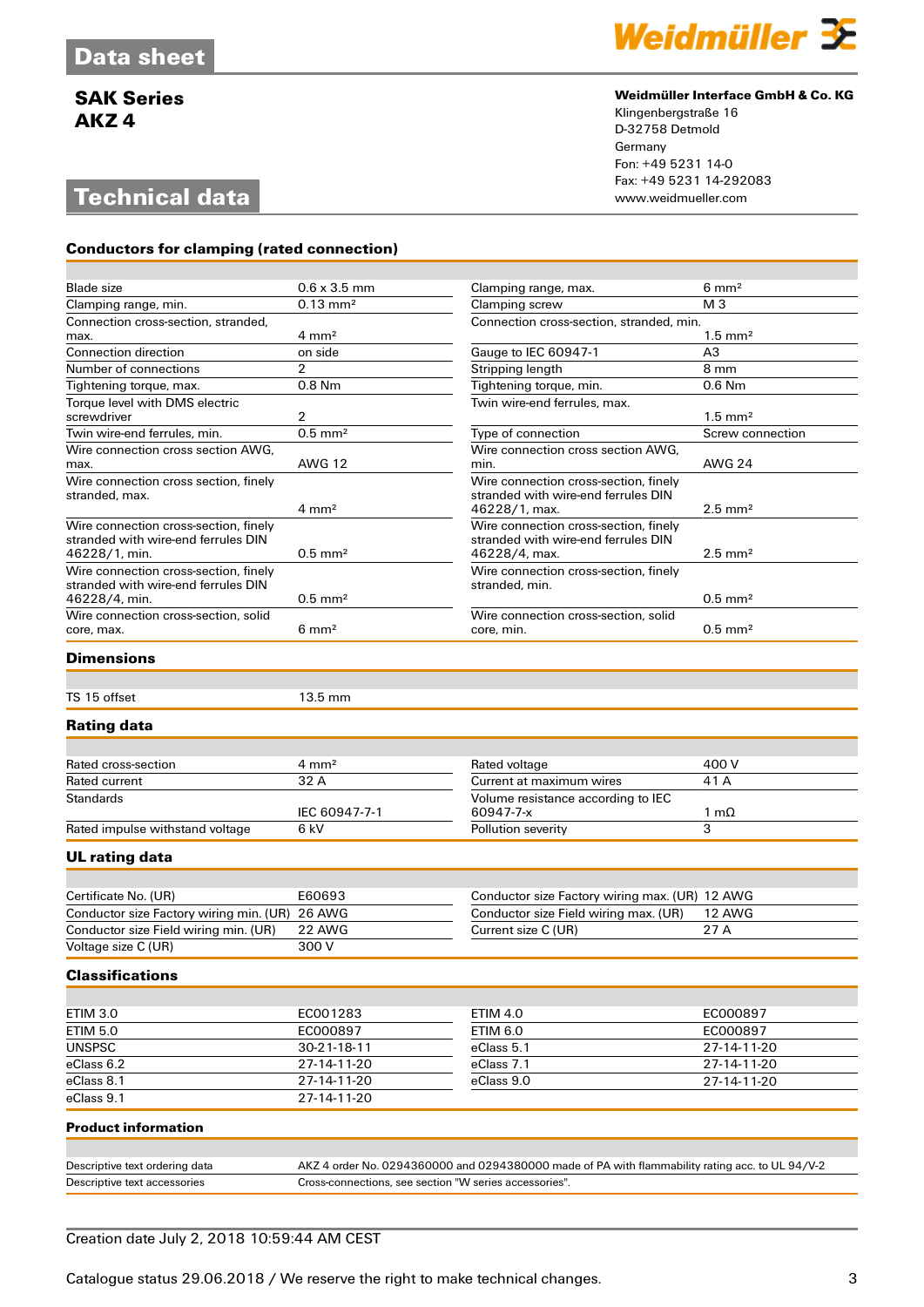# **Technical data**

**Conductors for clamping (rated connection)**



#### **Weidmüller Interface GmbH & Co. KG**

Klingenbergstraße 16 D-32758 Detmold Germany Fon: +49 5231 14-0 Fax: +49 5231 14-292083

| <b>Blade size</b>                                                            | $0.6 \times 3.5$ mm   | Clamping range, max.                                    | $6 \text{ mm}^2$      |
|------------------------------------------------------------------------------|-----------------------|---------------------------------------------------------|-----------------------|
| Clamping range, min.                                                         | $0.13 \text{ mm}^2$   | Clamping screw                                          | M <sub>3</sub>        |
| Connection cross-section, stranded,                                          |                       | Connection cross-section, stranded, min.                |                       |
| max.                                                                         | $4 \text{ mm}^2$      |                                                         | $1.5 \text{ mm}^2$    |
| Connection direction                                                         | on side               | Gauge to IEC 60947-1                                    | A3                    |
| Number of connections                                                        | 2                     | Stripping length                                        | 8 mm                  |
| Tightening torque, max.                                                      | $0.8$ Nm              | Tightening torque, min.                                 | $0.6$ Nm              |
| Torque level with DMS electric                                               |                       | Twin wire-end ferrules, max.                            |                       |
| screwdriver                                                                  | 2                     |                                                         | $1.5 \text{ mm}^2$    |
| Twin wire-end ferrules, min.                                                 | $0.5$ mm <sup>2</sup> | Type of connection                                      | Screw connection      |
| Wire connection cross section AWG,                                           |                       | Wire connection cross section AWG.                      |                       |
| max.                                                                         | <b>AWG 12</b>         | min.                                                    | <b>AWG 24</b>         |
| Wire connection cross section, finely                                        |                       | Wire connection cross-section, finely                   |                       |
| stranded, max.                                                               |                       | stranded with wire-end ferrules DIN                     |                       |
|                                                                              | $4 \text{ mm}^2$      | 46228/1, max.                                           | $2.5$ mm <sup>2</sup> |
| Wire connection cross-section, finely                                        |                       | Wire connection cross-section, finely                   |                       |
| stranded with wire-end ferrules DIN                                          | $0.5$ mm <sup>2</sup> | stranded with wire-end ferrules DIN                     | $2.5$ mm <sup>2</sup> |
| 46228/1, min.                                                                |                       | 46228/4, max.                                           |                       |
| Wire connection cross-section, finely<br>stranded with wire-end ferrules DIN |                       | Wire connection cross-section, finely<br>stranded, min. |                       |
| 46228/4, min.                                                                | $0.5$ mm <sup>2</sup> |                                                         | $0.5$ mm <sup>2</sup> |
| Wire connection cross-section, solid                                         |                       | Wire connection cross-section, solid                    |                       |
| core, max.                                                                   | $6 \text{ mm}^2$      | core, min.                                              | $0.5$ mm <sup>2</sup> |
|                                                                              |                       |                                                         |                       |

#### **Dimensions**

TS 15 offset 13.5 mm

#### **Rating data**

| Rated cross-section             | $4 \text{ mm}^2$ | Rated voltage                      | 400 V     |
|---------------------------------|------------------|------------------------------------|-----------|
| Rated current                   | 32 A             | Current at maximum wires           | 41 A      |
| <b>Standards</b>                |                  | Volume resistance according to IEC |           |
|                                 | IEC 60947-7-1    | 60947-7-x                          | $m\Omega$ |
| Rated impulse withstand voltage | 6 kV             | Pollution severity                 |           |

#### **UL rating data**

| Certificate No. (UR)                           | E60693 | Conductor size Factory wiring max. (UR) 12 AWG |        |
|------------------------------------------------|--------|------------------------------------------------|--------|
| Conductor size Factory wiring min. (UR) 26 AWG |        | Conductor size Field wiring max. (UR)          | 12 AWG |
| Conductor size Field wiring min. (UR)          | 22 AWG | Current size C (UR)                            | 27 A   |
| Voltage size C (UR)                            | 300 V  |                                                |        |

#### **Classifications**

| ETIM 3.0      | EC001283      | ETIM 4.0   | EC000897    |
|---------------|---------------|------------|-------------|
| ETIM 5.0      | EC000897      | ETIM 6.0   | EC000897    |
| <b>UNSPSC</b> | $30-21-18-11$ | eClass 5.1 | 27-14-11-20 |
| eClass 6.2    | 27-14-11-20   | eClass 7.1 | 27-14-11-20 |
| eClass 8.1    | 27-14-11-20   | eClass 9.0 | 27-14-11-20 |
| eClass 9.1    | 27-14-11-20   |            |             |

#### **Product information**

| Descriptive text ordering data | AKZ 4 order No. 0294360000 and 0294380000 made of PA with flammability rating acc. to UL 94/V-2 |
|--------------------------------|-------------------------------------------------------------------------------------------------|
| Descriptive text accessories   | Cross-connections, see section "W series accessories".                                          |

### Creation date July 2, 2018 10:59:44 AM CEST